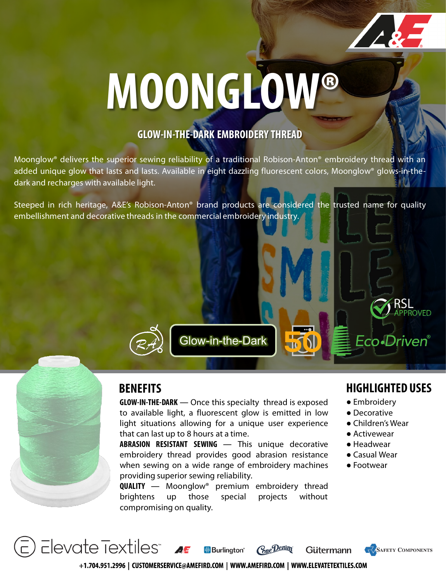# **MOONGLOW®**

#### **GLOW-IN-THE-DARK EMBROIDERY THREAD**

Moonglow® delivers the superior sewing reliability of a traditional Robison-Anton® embroidery thread with an added unique glow that lasts and lasts. Available in eight dazzling fluorescent colors, Moonglow® glows-in-thedark and recharges with available light.

Steeped in rich heritage, A&E's Robison-Anton® brand products are considered the trusted name for quality embellishment and decorative threads in the commercial embroidery industry.

### **BENEFITS**

**GLOW-IN-THE-DARK** ― Once this specialty thread is exposed to available light, a fluorescent glow is emitted in low light situations allowing for a unique user experience that can last up to 8 hours at a time.

Glow-in-the-Dark

**ABRASION RESISTANT SEWING** ― This unique decorative embroidery thread provides good abrasion resistance when sewing on a wide range of embroidery machines providing superior sewing reliability.

**QUALITY** ― Moonglow® premium embroidery thread brightens up those special projects without compromising on quality.

### **HIGHLIGHTED USES**

**SAFETY COMPONENTS** 

Eco•Driven®

**ROVED** 

- Embroidery
- Decorative
- Children's Wear
- Activewear
- Headwear
- Casual Wear
- Footwear

Elevate Textiles<sup>®</sup> **Cone Denim H**Burlinaton<sup>®</sup> Gütermann